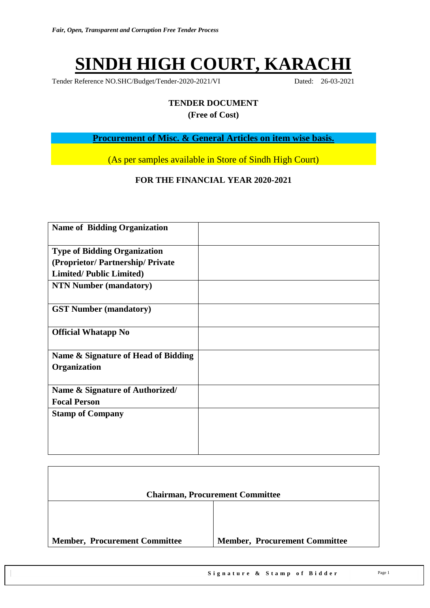# **SINDH HIGH COURT, KARACHI**

Tender Reference NO.SHC/Budget/Tender-2020-2021/VI Dated: 26-03-2021

# **TENDER DOCUMENT**

**(Free of Cost)**

**Procurement of Misc. & General Articles on item wise basis.**

(As per samples available in Store of Sindh High Court)

#### **FOR THE FINANCIAL YEAR 2020-2021**

| <b>Name of Bidding Organization</b>                 |  |
|-----------------------------------------------------|--|
| <b>Type of Bidding Organization</b>                 |  |
| (Proprietor/Partnership/Private                     |  |
| <b>Limited/Public Limited)</b>                      |  |
| <b>NTN Number (mandatory)</b>                       |  |
| <b>GST Number (mandatory)</b>                       |  |
| <b>Official Whatapp No</b>                          |  |
| Name & Signature of Head of Bidding<br>Organization |  |
| Name & Signature of Authorized/                     |  |
| <b>Focal Person</b>                                 |  |
| <b>Stamp of Company</b>                             |  |

|                                      | <b>Chairman, Procurement Committee</b> |
|--------------------------------------|----------------------------------------|
|                                      |                                        |
| <b>Member, Procurement Committee</b> | <b>Member, Procurement Committee</b>   |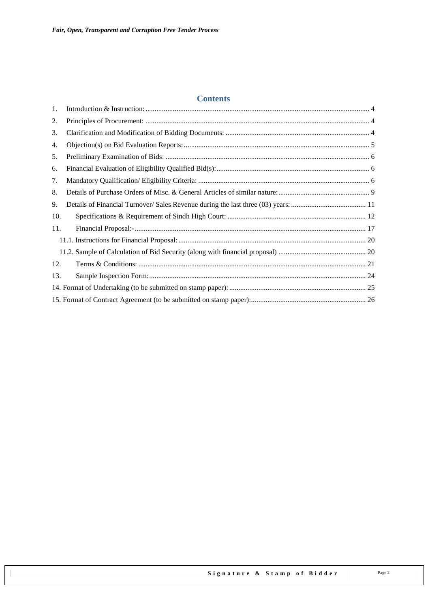#### **Contents**

| 1.  |  |
|-----|--|
| 2.  |  |
| 3.  |  |
| 4.  |  |
| 5.  |  |
| 6.  |  |
| 7.  |  |
| 8.  |  |
| 9.  |  |
| 10. |  |
| 11. |  |
|     |  |
|     |  |
| 12. |  |
| 13. |  |
|     |  |
|     |  |
|     |  |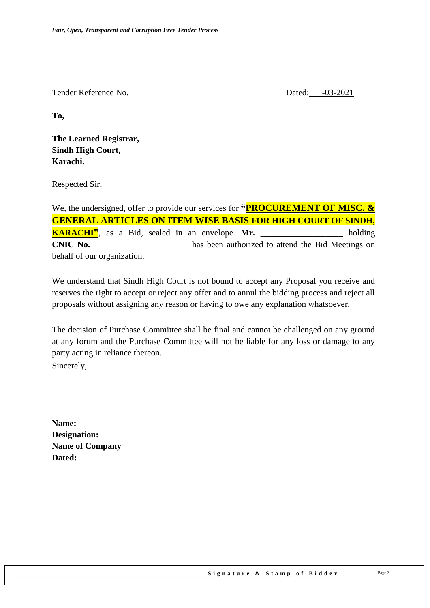Tender Reference No. 20021

**To,** 

**The Learned Registrar, Sindh High Court, Karachi.**

Respected Sir,

We, the undersigned, offer to provide our services for **"PROCUREMENT OF MISC. & GENERAL ARTICLES ON ITEM WISE BASIS FOR HIGH COURT OF SINDH, KARACHI"**, as a Bid, sealed in an envelope. **Mr. \_\_\_\_\_\_\_\_\_\_\_\_\_\_\_\_\_\_\_** holding **CNIC No. CNIC No. has been authorized to attend the Bid Meetings on** behalf of our organization.

We understand that Sindh High Court is not bound to accept any Proposal you receive and reserves the right to accept or reject any offer and to annul the bidding process and reject all proposals without assigning any reason or having to owe any explanation whatsoever.

The decision of Purchase Committee shall be final and cannot be challenged on any ground at any forum and the Purchase Committee will not be liable for any loss or damage to any party acting in reliance thereon.

Sincerely,

**Name: Designation: Name of Company Dated:**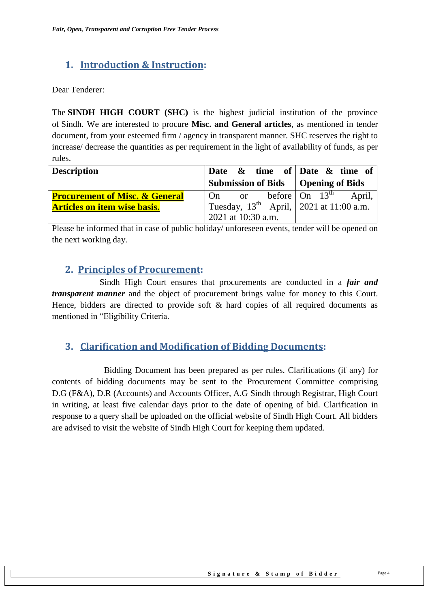### <span id="page-3-0"></span>**1. Introduction & Instruction:**

Dear Tenderer:

The **SINDH HIGH COURT (SHC)** is the highest judicial institution of the province of [Sindh.](https://en.wikipedia.org/wiki/Sindh) We are interested to procure **Misc. and General articles**, as mentioned in tender document, from your esteemed firm / agency in transparent manner. SHC reserves the right to increase/ decrease the quantities as per requirement in the light of availability of funds, as per rules.

| <b>Description</b>                        | Date $\&$ time of Date $\&$ time of                                              |  |  |  |  |
|-------------------------------------------|----------------------------------------------------------------------------------|--|--|--|--|
|                                           | Submission of Bids   Opening of Bids                                             |  |  |  |  |
| <b>Procurement of Misc. &amp; General</b> | $  \text{On} \text{ or } \text{before}   \text{On} 13^{\text{th}} \text{April},$ |  |  |  |  |
| <b>Articles on item wise basis.</b>       | Tuesday, $13^{th}$ April, 2021 at 11:00 a.m.                                     |  |  |  |  |
|                                           | 2021 at 10:30 a.m.                                                               |  |  |  |  |

<span id="page-3-1"></span>Please be informed that in case of public holiday/ unforeseen events, tender will be opened on the next working day.

### **2. Principles of Procurement:**

 Sindh High Court ensures that procurements are conducted in a *fair and transparent manner* and the object of procurement brings value for money to this Court. Hence, bidders are directed to provide soft & hard copies of all required documents as mentioned in "Eligibility Criteria.

### <span id="page-3-2"></span>**3. Clarification and Modification of Bidding Documents:**

Bidding Document has been prepared as per rules. Clarifications (if any) for contents of bidding documents may be sent to the Procurement Committee comprising D.G (F&A), D.R (Accounts) and Accounts Officer, A.G Sindh through Registrar, High Court in writing, at least five calendar days prior to the date of opening of bid. Clarification in response to a query shall be uploaded on the official website of Sindh High Court. All bidders are advised to visit the website of Sindh High Court for keeping them updated.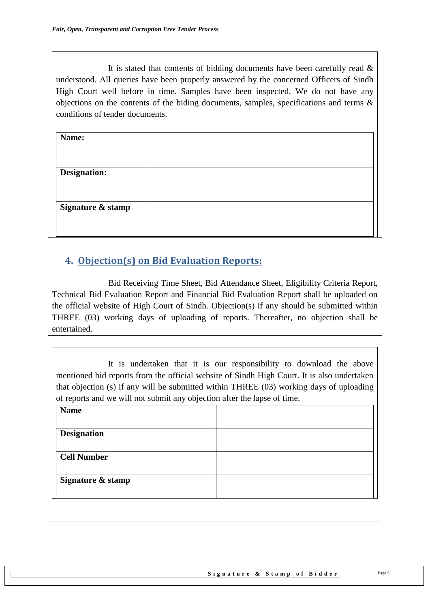It is stated that contents of bidding documents have been carefully read  $\&$ understood. All queries have been properly answered by the concerned Officers of Sindh High Court well before in time. Samples have been inspected. We do not have any objections on the contents of the biding documents, samples, specifications and terms & conditions of tender documents.

| Name:               |  |
|---------------------|--|
|                     |  |
| <b>Designation:</b> |  |
|                     |  |
| Signature & stamp   |  |
|                     |  |
|                     |  |

### <span id="page-4-0"></span>**4. Objection(s) on Bid Evaluation Reports:**

 Bid Receiving Time Sheet, Bid Attendance Sheet, Eligibility Criteria Report, Technical Bid Evaluation Report and Financial Bid Evaluation Report shall be uploaded on the official website of High Court of Sindh. Objection(s) if any should be submitted within THREE (03) working days of uploading of reports. Thereafter, no objection shall be entertained.

| mentioned bid reports from the official website of Sindh High Court. It is also undertaken<br>that objection (s) if any will be submitted within THREE (03) working days of uploading<br>of reports and we will not submit any objection after the lapse of time. | It is undertaken that it is our responsibility to download the above |
|-------------------------------------------------------------------------------------------------------------------------------------------------------------------------------------------------------------------------------------------------------------------|----------------------------------------------------------------------|
| <b>Name</b>                                                                                                                                                                                                                                                       |                                                                      |
| <b>Designation</b>                                                                                                                                                                                                                                                |                                                                      |
| <b>Cell Number</b>                                                                                                                                                                                                                                                |                                                                      |
| Signature & stamp                                                                                                                                                                                                                                                 |                                                                      |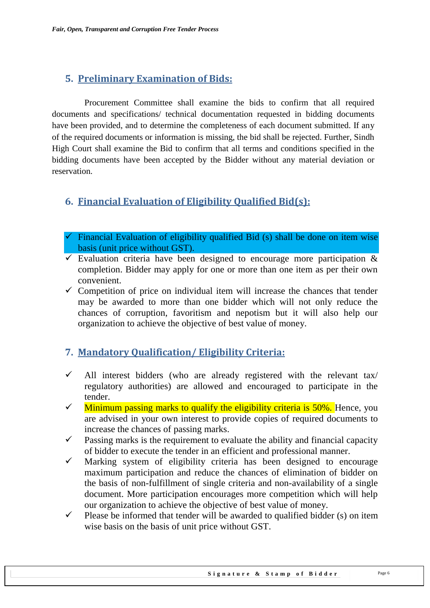### <span id="page-5-0"></span>**5. Preliminary Examination of Bids:**

 Procurement Committee shall examine the bids to confirm that all required documents and specifications/ technical documentation requested in bidding documents have been provided, and to determine the completeness of each document submitted. If any of the required documents or information is missing, the bid shall be rejected. Further, Sindh High Court shall examine the Bid to confirm that all terms and conditions specified in the bidding documents have been accepted by the Bidder without any material deviation or reservation.

### <span id="page-5-1"></span>**6. Financial Evaluation of Eligibility Qualified Bid(s):**

- $\checkmark$  Financial Evaluation of eligibility qualified Bid (s) shall be done on item wise basis (unit price without GST).
- $\checkmark$  Evaluation criteria have been designed to encourage more participation & completion. Bidder may apply for one or more than one item as per their own convenient.
- $\checkmark$  Competition of price on individual item will increase the chances that tender may be awarded to more than one bidder which will not only reduce the chances of corruption, favoritism and nepotism but it will also help our organization to achieve the objective of best value of money.

### <span id="page-5-2"></span>**7. Mandatory Qualification/ Eligibility Criteria:**

- $\checkmark$  All interest bidders (who are already registered with the relevant tax) regulatory authorities) are allowed and encouraged to participate in the tender.
- $\checkmark$  Minimum passing marks to qualify the eligibility criteria is 50%. Hence, you are advised in your own interest to provide copies of required documents to increase the chances of passing marks.
- $\checkmark$  Passing marks is the requirement to evaluate the ability and financial capacity of bidder to execute the tender in an efficient and professional manner.
- $\checkmark$  Marking system of eligibility criteria has been designed to encourage maximum participation and reduce the chances of elimination of bidder on the basis of non-fulfillment of single criteria and non-availability of a single document. More participation encourages more competition which will help our organization to achieve the objective of best value of money.
- $\checkmark$  Please be informed that tender will be awarded to qualified bidder (s) on item wise basis on the basis of unit price without GST.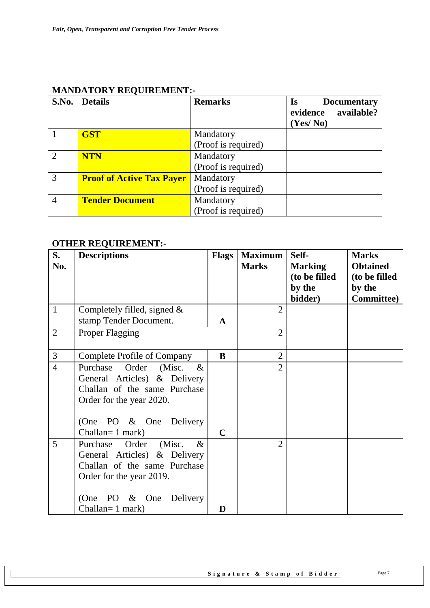| S.No.                       | <b>Details</b>                   | <b>Remarks</b>      | Is<br><b>Documentary</b><br>available?<br>evidence<br>(Yes/No) |
|-----------------------------|----------------------------------|---------------------|----------------------------------------------------------------|
|                             | <b>GST</b>                       | Mandatory           |                                                                |
|                             |                                  | (Proof is required) |                                                                |
| $\mathcal{D}_{\mathcal{L}}$ | <b>NTN</b>                       | Mandatory           |                                                                |
|                             |                                  | (Proof is required) |                                                                |
| 3                           | <b>Proof of Active Tax Payer</b> | Mandatory           |                                                                |
|                             |                                  | (Proof is required) |                                                                |
| 4                           | <b>Tender Document</b>           | Mandatory           |                                                                |
|                             |                                  | (Proof is required) |                                                                |

#### **MANDATORY REQUIREMENT:-**

### **OTHER REQUIREMENT:-**

| S.             | <b>Descriptions</b>            | <b>Flags</b> | <b>Maximum</b> | Self-             | <b>Marks</b>                 |
|----------------|--------------------------------|--------------|----------------|-------------------|------------------------------|
| No.            |                                |              | <b>Marks</b>   | <b>Marking</b>    | <b>Obtained</b>              |
|                |                                |              |                | (to be filled     | (to be filled                |
|                |                                |              |                | by the<br>bidder) | by the<br><b>Committee</b> ) |
| $\mathbf{1}$   | Completely filled, signed $\&$ |              | $\overline{2}$ |                   |                              |
|                | stamp Tender Document.         | A            |                |                   |                              |
| $\mathbf{2}$   | <b>Proper Flagging</b>         |              | $\overline{2}$ |                   |                              |
|                |                                |              |                |                   |                              |
| $\overline{3}$ | Complete Profile of Company    | B            | $\overline{2}$ |                   |                              |
| $\overline{4}$ | Purchase Order (Misc.<br>$\&$  |              | $\overline{2}$ |                   |                              |
|                | General Articles) & Delivery   |              |                |                   |                              |
|                | Challan of the same Purchase   |              |                |                   |                              |
|                | Order for the year 2020.       |              |                |                   |                              |
|                | (One PO & One Delivery         |              |                |                   |                              |
|                | Challan= 1 mark)               | $\mathbf C$  |                |                   |                              |
| 5              | Purchase Order (Misc.<br>$\&$  |              | $\overline{2}$ |                   |                              |
|                | General Articles) & Delivery   |              |                |                   |                              |
|                | Challan of the same Purchase   |              |                |                   |                              |
|                | Order for the year 2019.       |              |                |                   |                              |
|                |                                |              |                |                   |                              |
|                | (One<br>PO & One<br>Delivery   |              |                |                   |                              |
|                | Challan= 1 mark)               | D            |                |                   |                              |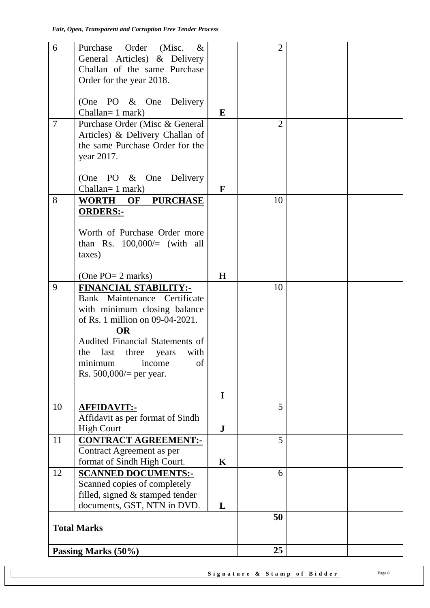| 6      | Purchase<br>Order (Misc.<br>$\&$   |              | $\overline{2}$ |  |
|--------|------------------------------------|--------------|----------------|--|
|        | General Articles) & Delivery       |              |                |  |
|        | Challan of the same Purchase       |              |                |  |
|        | Order for the year 2018.           |              |                |  |
|        |                                    |              |                |  |
|        | (One PO & One Delivery             |              |                |  |
|        |                                    |              |                |  |
|        | $Challan=1 mark)$                  | $\bf{E}$     |                |  |
| $\tau$ | Purchase Order (Misc & General     |              | $\overline{2}$ |  |
|        | Articles) & Delivery Challan of    |              |                |  |
|        | the same Purchase Order for the    |              |                |  |
|        | year 2017.                         |              |                |  |
|        |                                    |              |                |  |
|        | (One PO & One Delivery             |              |                |  |
|        | Challan= 1 mark)                   | $\mathbf{F}$ |                |  |
|        |                                    |              |                |  |
| 8      | WORTH OF PURCHASE                  |              | 10             |  |
|        | <b>ORDERS:-</b>                    |              |                |  |
|        |                                    |              |                |  |
|        | Worth of Purchase Order more       |              |                |  |
|        | than Rs. $100,000/=(with all)$     |              |                |  |
|        | taxes)                             |              |                |  |
|        |                                    |              |                |  |
|        | (One $PO=2$ marks)                 | H            |                |  |
| 9      | <b>FINANCIAL STABILITY:-</b>       |              | 10             |  |
|        | Bank Maintenance Certificate       |              |                |  |
|        |                                    |              |                |  |
|        | with minimum closing balance       |              |                |  |
|        | of Rs. 1 million on 09-04-2021.    |              |                |  |
|        | <b>OR</b>                          |              |                |  |
|        | Audited Financial Statements of    |              |                |  |
|        | last three<br>with<br>the<br>years |              |                |  |
|        | minimum income of                  |              |                |  |
|        | Rs. $500,000/$ per year.           |              |                |  |
|        |                                    |              |                |  |
|        |                                    | $\mathbf I$  |                |  |
| 10     | <b>AFFIDAVIT:-</b>                 |              | 5              |  |
|        | Affidavit as per format of Sindh   |              |                |  |
|        | <b>High Court</b>                  | ${\bf J}$    |                |  |
|        |                                    |              |                |  |
| 11     | <b>CONTRACT AGREEMENT:-</b>        |              | 5              |  |
|        | Contract Agreement as per          |              |                |  |
|        | format of Sindh High Court.        | K            |                |  |
| 12     | <b>SCANNED DOCUMENTS:-</b>         |              | 6              |  |
|        | Scanned copies of completely       |              |                |  |
|        | filled, signed & stamped tender    |              |                |  |
|        | documents, GST, NTN in DVD.        | L            |                |  |
|        |                                    |              | 50             |  |
|        | <b>Total Marks</b>                 |              |                |  |
|        |                                    |              |                |  |
|        |                                    |              | 25             |  |
|        | Passing Marks (50%)                |              |                |  |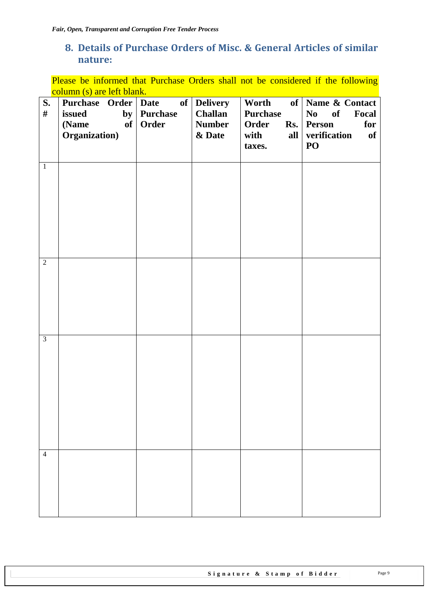### <span id="page-8-0"></span>**8. Details of Purchase Orders of Misc. & General Articles of similar nature:**

Please be informed that Purchase Orders shall not be considered if the following column (s) are left blank.

| S.<br>$\#$     | Purchase Order   Date<br>issued<br>of<br>(Name<br>Organization) | of<br>by Purchase<br>Order | <b>Delivery</b><br><b>Challan</b><br><b>Number</b><br>& Date | Worth<br><b>Purchase</b><br>Order<br>with<br>all<br>taxes. | of   Name & Contact<br>Focal<br>N <sub>0</sub><br>of<br>Rs. Person<br>for<br>verification<br>of<br>PO |
|----------------|-----------------------------------------------------------------|----------------------------|--------------------------------------------------------------|------------------------------------------------------------|-------------------------------------------------------------------------------------------------------|
| $\mathbf{1}$   |                                                                 |                            |                                                              |                                                            |                                                                                                       |
| $\overline{2}$ |                                                                 |                            |                                                              |                                                            |                                                                                                       |
| $\overline{3}$ |                                                                 |                            |                                                              |                                                            |                                                                                                       |
| $\overline{4}$ |                                                                 |                            |                                                              |                                                            |                                                                                                       |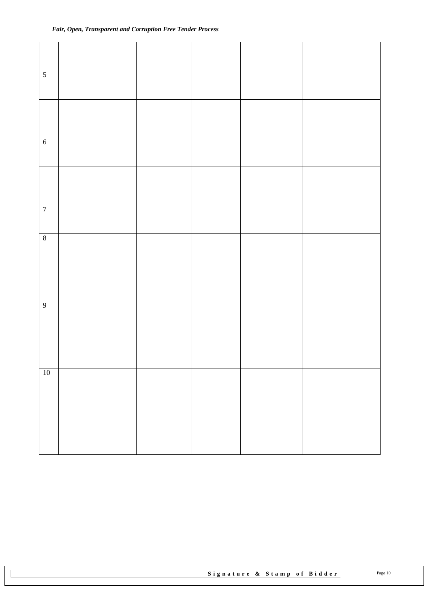| $\sqrt{5}$       |  |  |  |
|------------------|--|--|--|
| $\sqrt{6}$       |  |  |  |
| $\boldsymbol{7}$ |  |  |  |
| $\sqrt{8}$       |  |  |  |
| $\overline{9}$   |  |  |  |
| $10\,$           |  |  |  |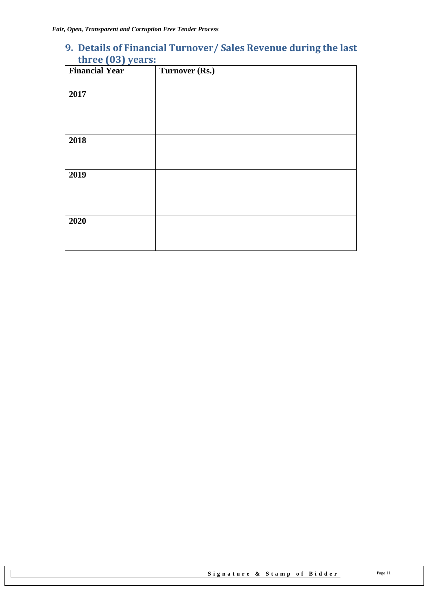## <span id="page-10-0"></span>**9. Details of Financial Turnover/ Sales Revenue during the last three (03) years:**

| <b>Financial Year</b> | Turnover (Rs.) |
|-----------------------|----------------|
|                       |                |
| 2017                  |                |
|                       |                |
|                       |                |
|                       |                |
| 2018                  |                |
|                       |                |
|                       |                |
| 2019                  |                |
|                       |                |
|                       |                |
|                       |                |
| 2020                  |                |
|                       |                |
|                       |                |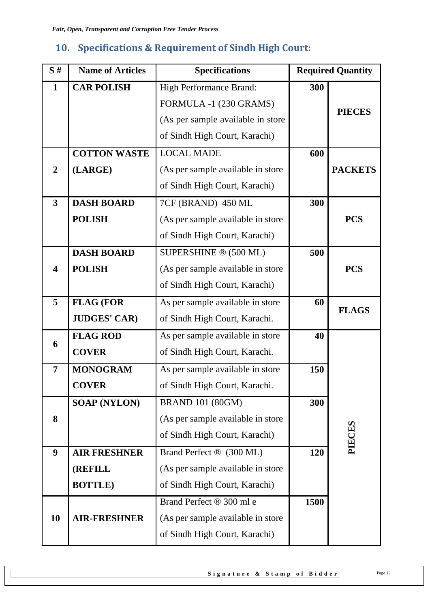# <span id="page-11-0"></span>**10. Specifications & Requirement of Sindh High Court:**

| S#                      | <b>Name of Articles</b> | <b>Specifications</b>             |      | <b>Required Quantity</b> |  |  |
|-------------------------|-------------------------|-----------------------------------|------|--------------------------|--|--|
| $\mathbf{1}$            | <b>CAR POLISH</b>       | High Performance Brand:           | 300  |                          |  |  |
|                         |                         | FORMULA -1 (230 GRAMS)            |      | <b>PIECES</b>            |  |  |
|                         |                         | (As per sample available in store |      |                          |  |  |
|                         |                         | of Sindh High Court, Karachi)     |      |                          |  |  |
|                         | <b>COTTON WASTE</b>     | <b>LOCAL MADE</b>                 | 600  |                          |  |  |
| $\overline{2}$          | (LARGE)                 | (As per sample available in store |      | <b>PACKETS</b>           |  |  |
|                         |                         | of Sindh High Court, Karachi)     |      |                          |  |  |
| $\overline{\mathbf{3}}$ | <b>DASH BOARD</b>       | 7CF (BRAND) 450 ML                | 300  |                          |  |  |
|                         | <b>POLISH</b>           | (As per sample available in store |      | <b>PCS</b>               |  |  |
|                         |                         | of Sindh High Court, Karachi)     |      |                          |  |  |
|                         | <b>DASH BOARD</b>       | SUPERSHINE ® (500 ML)             | 500  |                          |  |  |
| 4                       | <b>POLISH</b>           | (As per sample available in store |      | <b>PCS</b>               |  |  |
|                         |                         | of Sindh High Court, Karachi)     |      |                          |  |  |
| 5                       | <b>FLAG (FOR</b>        | As per sample available in store  | 60   | <b>FLAGS</b>             |  |  |
|                         | <b>JUDGES' CAR)</b>     | of Sindh High Court, Karachi.     |      |                          |  |  |
| 6                       | <b>FLAG ROD</b>         | As per sample available in store  | 40   |                          |  |  |
|                         | <b>COVER</b>            | of Sindh High Court, Karachi.     |      |                          |  |  |
| $\overline{7}$          | <b>MONOGRAM</b>         | As per sample available in store  | 150  |                          |  |  |
|                         | <b>COVER</b>            | of Sindh High Court, Karachi.     |      |                          |  |  |
|                         | <b>SOAP (NYLON)</b>     | <b>BRAND 101 (80GM)</b>           | 300  |                          |  |  |
| 8                       |                         | (As per sample available in store |      |                          |  |  |
|                         |                         | of Sindh High Court, Karachi)     |      | PIECES                   |  |  |
| 9                       | <b>AIR FRESHNER</b>     | Brand Perfect ® (300 ML)          | 120  |                          |  |  |
|                         | <b>(REFILL</b>          | (As per sample available in store |      |                          |  |  |
|                         | <b>BOTTLE</b> )         | of Sindh High Court, Karachi)     |      |                          |  |  |
|                         |                         | Brand Perfect ® 300 ml e          | 1500 |                          |  |  |
| 10                      | <b>AIR-FRESHNER</b>     | (As per sample available in store |      |                          |  |  |
|                         |                         | of Sindh High Court, Karachi)     |      |                          |  |  |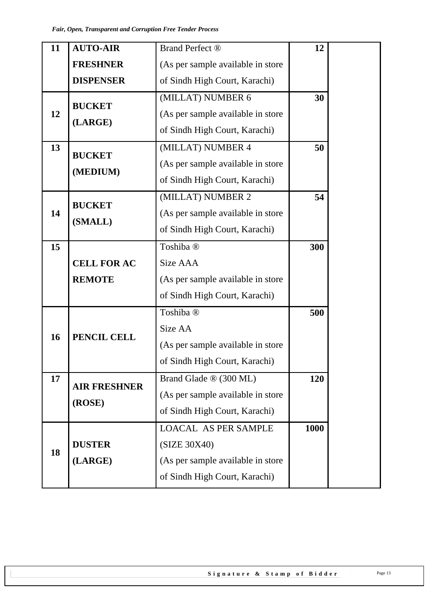| 11     | <b>AUTO-AIR</b>     | Brand Perfect ®                    | 12   |
|--------|---------------------|------------------------------------|------|
|        | <b>FRESHNER</b>     | (As per sample available in store  |      |
|        | <b>DISPENSER</b>    | of Sindh High Court, Karachi)      |      |
|        | <b>BUCKET</b>       | (MILLAT) NUMBER 6                  | 30   |
| 12     |                     | (As per sample available in store  |      |
|        | (LARGE)             | of Sindh High Court, Karachi)      |      |
| 13     | <b>BUCKET</b>       | (MILLAT) NUMBER 4                  | 50   |
|        |                     | (As per sample available in store  |      |
|        | (MEDIUM)            | of Sindh High Court, Karachi)      |      |
|        | <b>BUCKET</b>       | (MILLAT) NUMBER 2                  | 54   |
| 14     |                     | (As per sample available in store  |      |
|        | (SMALL)             | of Sindh High Court, Karachi)      |      |
| 15     |                     | Toshiba <sup>®</sup>               | 300  |
|        | <b>CELL FOR AC</b>  | Size AAA                           |      |
|        | <b>REMOTE</b>       | (As per sample available in store  |      |
|        |                     | of Sindh High Court, Karachi)      |      |
|        |                     | Toshiba <sup>®</sup>               | 500  |
| 16     | PENCIL CELL         | Size AA                            |      |
|        |                     | (As per sample available in store) |      |
|        |                     | of Sindh High Court, Karachi)      |      |
| 17     | <b>AIR FRESHNER</b> | Brand Glade ® (300 ML)             | 120  |
|        |                     | (As per sample available in store  |      |
| (ROSE) |                     | of Sindh High Court, Karachi)      |      |
|        |                     | <b>LOACAL AS PER SAMPLE</b>        | 1000 |
| 18     | <b>DUSTER</b>       | (SIZE 30X40)                       |      |
|        | (LARGE)             | (As per sample available in store  |      |
|        |                     | of Sindh High Court, Karachi)      |      |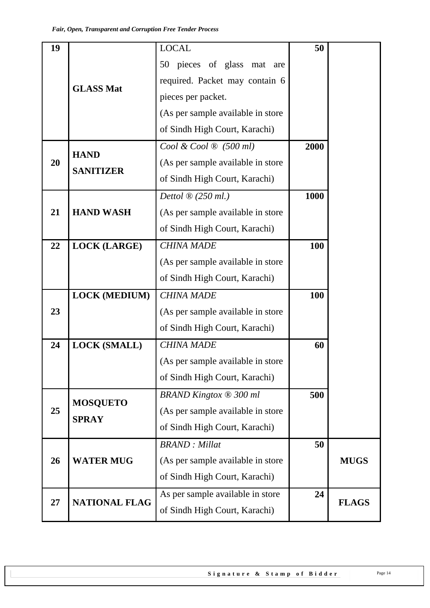| 19 |                                                                                                                                                                                                      | <b>LOCAL</b>                           | 50   |              |  |  |  |  |  |
|----|------------------------------------------------------------------------------------------------------------------------------------------------------------------------------------------------------|----------------------------------------|------|--------------|--|--|--|--|--|
|    |                                                                                                                                                                                                      | 50 pieces of glass mat are             |      |              |  |  |  |  |  |
|    | <b>GLASS Mat</b><br><b>HAND</b><br><b>SANITIZER</b><br><b>HAND WASH</b><br><b>LOCK (LARGE)</b><br><b>LOCK (MEDIUM)</b><br><b>LOCK (SMALL)</b><br><b>MOSQUETO</b><br><b>SPRAY</b><br><b>WATER MUG</b> | required. Packet may contain 6         |      |              |  |  |  |  |  |
|    |                                                                                                                                                                                                      | pieces per packet.                     |      |              |  |  |  |  |  |
|    |                                                                                                                                                                                                      | (As per sample available in store      |      |              |  |  |  |  |  |
|    |                                                                                                                                                                                                      | of Sindh High Court, Karachi)          |      |              |  |  |  |  |  |
|    |                                                                                                                                                                                                      | Cool & Cool $\mathfrak{B}$ (500 ml)    | 2000 |              |  |  |  |  |  |
| 20 |                                                                                                                                                                                                      | (As per sample available in store      |      |              |  |  |  |  |  |
|    |                                                                                                                                                                                                      | of Sindh High Court, Karachi)          |      |              |  |  |  |  |  |
|    |                                                                                                                                                                                                      | Dettol $\mathfrak{D}(250 \text{ ml.})$ | 1000 |              |  |  |  |  |  |
| 21 |                                                                                                                                                                                                      | (As per sample available in store      |      |              |  |  |  |  |  |
|    |                                                                                                                                                                                                      | of Sindh High Court, Karachi)          |      |              |  |  |  |  |  |
| 22 |                                                                                                                                                                                                      | <b>CHINA MADE</b>                      | 100  |              |  |  |  |  |  |
|    |                                                                                                                                                                                                      | (As per sample available in store      |      |              |  |  |  |  |  |
|    |                                                                                                                                                                                                      | of Sindh High Court, Karachi)          |      |              |  |  |  |  |  |
|    |                                                                                                                                                                                                      | <b>CHINA MADE</b>                      | 100  |              |  |  |  |  |  |
| 23 |                                                                                                                                                                                                      | (As per sample available in store      |      |              |  |  |  |  |  |
|    |                                                                                                                                                                                                      | of Sindh High Court, Karachi)          |      |              |  |  |  |  |  |
| 24 |                                                                                                                                                                                                      | <b>CHINA MADE</b>                      | 60   |              |  |  |  |  |  |
|    |                                                                                                                                                                                                      | (As per sample available in store      |      |              |  |  |  |  |  |
|    |                                                                                                                                                                                                      | of Sindh High Court, Karachi)          |      |              |  |  |  |  |  |
|    |                                                                                                                                                                                                      | <b>BRAND Kingtox ® 300 ml</b>          | 500  |              |  |  |  |  |  |
| 25 |                                                                                                                                                                                                      | (As per sample available in store      |      |              |  |  |  |  |  |
|    |                                                                                                                                                                                                      | of Sindh High Court, Karachi)          |      |              |  |  |  |  |  |
|    |                                                                                                                                                                                                      | <b>BRAND</b> : Millat                  | 50   |              |  |  |  |  |  |
| 26 |                                                                                                                                                                                                      | (As per sample available in store      |      | <b>MUGS</b>  |  |  |  |  |  |
|    |                                                                                                                                                                                                      | of Sindh High Court, Karachi)          |      |              |  |  |  |  |  |
| 27 | <b>NATIONAL FLAG</b>                                                                                                                                                                                 | As per sample available in store       | 24   | <b>FLAGS</b> |  |  |  |  |  |
|    |                                                                                                                                                                                                      | of Sindh High Court, Karachi)          |      |              |  |  |  |  |  |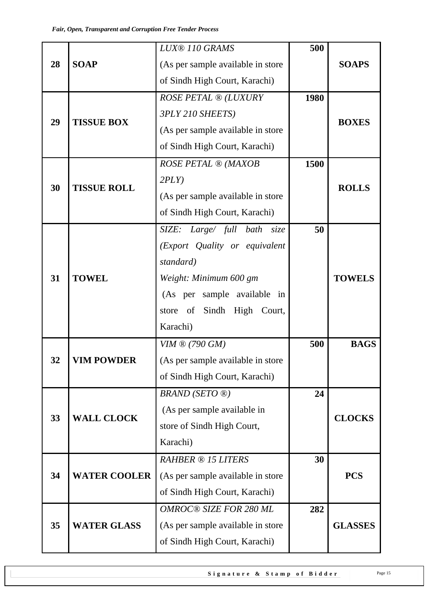|    |                                                                                                   | <b>LUX® 110 GRAMS</b>             | 500       |                |  |
|----|---------------------------------------------------------------------------------------------------|-----------------------------------|-----------|----------------|--|
| 28 | <b>SOAP</b>                                                                                       | (As per sample available in store |           | <b>SOAPS</b>   |  |
|    | <b>TISSUE BOX</b><br><b>TISSUE ROLL</b><br><b>TOWEL</b><br><b>VIM POWDER</b><br><b>WALL CLOCK</b> | of Sindh High Court, Karachi)     |           |                |  |
|    |                                                                                                   | ROSE PETAL ® (LUXURY              | 1980      |                |  |
|    |                                                                                                   | 3PLY 210 SHEETS)                  |           |                |  |
| 29 |                                                                                                   | (As per sample available in store |           | <b>BOXES</b>   |  |
|    |                                                                                                   | of Sindh High Court, Karachi)     |           |                |  |
|    |                                                                                                   | <b>ROSE PETAL ® (MAXOB</b>        | 1500      |                |  |
|    |                                                                                                   | 2PLY                              |           |                |  |
| 30 |                                                                                                   | (As per sample available in store |           | <b>ROLLS</b>   |  |
|    |                                                                                                   | of Sindh High Court, Karachi)     |           |                |  |
|    |                                                                                                   | SIZE: Large/ full bath size       | 50        |                |  |
|    | 31                                                                                                | (Export Quality or equivalent     |           |                |  |
|    |                                                                                                   | standard)                         |           |                |  |
|    |                                                                                                   | Weight: Minimum 600 gm            |           | <b>TOWELS</b>  |  |
|    |                                                                                                   | (As per sample available in       |           |                |  |
|    |                                                                                                   | store of Sindh High Court,        |           |                |  |
|    |                                                                                                   | Karachi)                          |           |                |  |
|    |                                                                                                   | $VIM \otimes (790 \text{ } GM)$   | 500<br>24 |                |  |
| 32 |                                                                                                   | (As per sample available in store |           |                |  |
|    |                                                                                                   | of Sindh High Court, Karachi)     |           |                |  |
|    |                                                                                                   | <b>BRAND</b> (SETO ®)             |           | <b>BAGS</b>    |  |
|    |                                                                                                   | (As per sample available in       |           |                |  |
| 33 |                                                                                                   | store of Sindh High Court,        |           | <b>CLOCKS</b>  |  |
|    |                                                                                                   | Karachi)                          |           |                |  |
|    |                                                                                                   | <b>RAHBER ® 15 LITERS</b>         | 30        |                |  |
| 34 | <b>WATER COOLER</b>                                                                               | (As per sample available in store |           | <b>PCS</b>     |  |
|    |                                                                                                   | of Sindh High Court, Karachi)     |           |                |  |
|    |                                                                                                   | OMROC® SIZE FOR 280 ML            | 282       |                |  |
| 35 | <b>WATER GLASS</b>                                                                                | (As per sample available in store |           | <b>GLASSES</b> |  |
|    |                                                                                                   | of Sindh High Court, Karachi)     |           |                |  |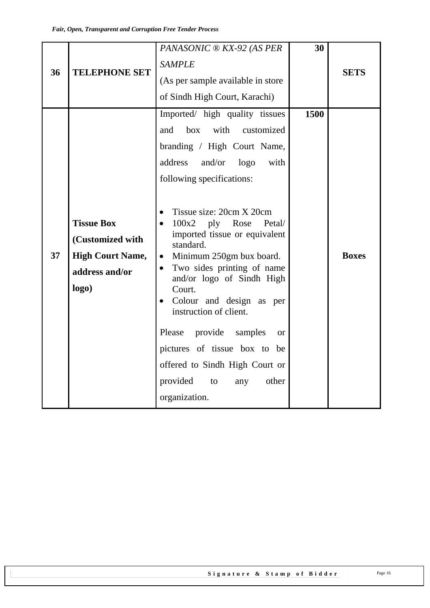| 36 | <b>TELEPHONE SET</b>                                                                        | PANASONIC ® KX-92 (AS PER<br><b>SAMPLE</b><br>(As per sample available in store)<br>of Sindh High Court, Karachi)                                                                                                                                                                                                                                                                                                                                                                                                                                                                                                                                                    | 30   | <b>SETS</b>  |
|----|---------------------------------------------------------------------------------------------|----------------------------------------------------------------------------------------------------------------------------------------------------------------------------------------------------------------------------------------------------------------------------------------------------------------------------------------------------------------------------------------------------------------------------------------------------------------------------------------------------------------------------------------------------------------------------------------------------------------------------------------------------------------------|------|--------------|
| 37 | <b>Tissue Box</b><br>(Customized with<br><b>High Court Name,</b><br>address and/or<br>logo) | Imported/ high quality tissues<br>with<br>box<br>customized<br>and<br>branding / High Court Name,<br>address<br>and/or<br>logo<br>with<br>following specifications:<br>Tissue size: 20cm X 20cm<br>$\bullet$<br>$100x2$ ply Rose<br>Petal/<br>$\bullet$<br>imported tissue or equivalent<br>standard.<br>Minimum 250gm bux board.<br>$\bullet$<br>Two sides printing of name<br>$\bullet$<br>and/or logo of Sindh High<br>Court.<br>Colour and design as per<br>$\bullet$<br>instruction of client.<br>Please<br>provide<br>samples<br>$\alpha$<br>pictures of tissue box to be<br>offered to Sindh High Court or<br>provided<br>other<br>to<br>any<br>organization. | 1500 | <b>Boxes</b> |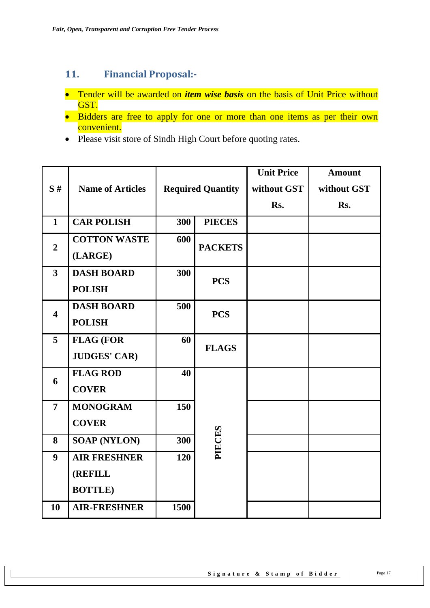# <span id="page-16-0"></span>**11. Financial Proposal:-**

- Tender will be awarded on *item wise basis* on the basis of Unit Price without GST.
- Bidders are free to apply for one or more than one items as per their own convenient.
- Please visit store of Sindh High Court before quoting rates.

|                         |                         |      |                          | <b>Unit Price</b> | <b>Amount</b> |
|-------------------------|-------------------------|------|--------------------------|-------------------|---------------|
| S#                      | <b>Name of Articles</b> |      | <b>Required Quantity</b> | without GST       | without GST   |
|                         |                         |      |                          | Rs.               | Rs.           |
| $\mathbf{1}$            | <b>CAR POLISH</b>       | 300  | <b>PIECES</b>            |                   |               |
| $\overline{2}$          | <b>COTTON WASTE</b>     | 600  | <b>PACKETS</b>           |                   |               |
|                         | (LARGE)                 |      |                          |                   |               |
| $\mathbf{3}$            | <b>DASH BOARD</b>       | 300  | <b>PCS</b>               |                   |               |
|                         | <b>POLISH</b>           |      |                          |                   |               |
| $\overline{\mathbf{4}}$ | <b>DASH BOARD</b>       | 500  | <b>PCS</b>               |                   |               |
|                         | <b>POLISH</b>           |      |                          |                   |               |
| 5                       | <b>FLAG (FOR</b>        | 60   | <b>FLAGS</b>             |                   |               |
|                         | <b>JUDGES' CAR)</b>     |      |                          |                   |               |
| 6                       | <b>FLAG ROD</b>         | 40   |                          |                   |               |
|                         | <b>COVER</b>            |      |                          |                   |               |
| $\overline{7}$          | <b>MONOGRAM</b>         | 150  |                          |                   |               |
|                         | <b>COVER</b>            |      |                          |                   |               |
| 8                       | <b>SOAP (NYLON)</b>     | 300  | PIECES                   |                   |               |
| 9                       | <b>AIR FRESHNER</b>     | 120  |                          |                   |               |
|                         | <b>(REFILL</b>          |      |                          |                   |               |
|                         | <b>BOTTLE</b> )         |      |                          |                   |               |
| 10                      | <b>AIR-FRESHNER</b>     | 1500 |                          |                   |               |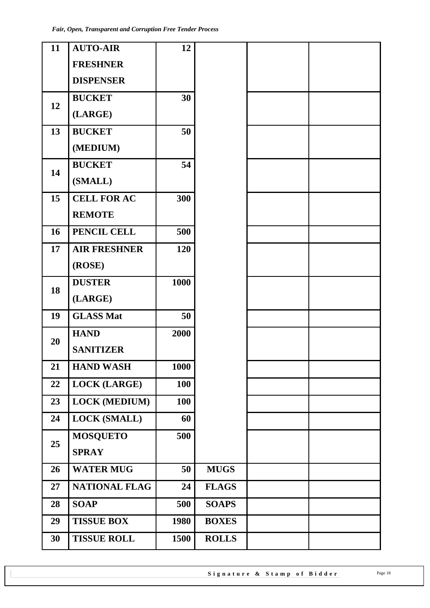| 11 | <b>AUTO-AIR</b>      | 12   |              |  |
|----|----------------------|------|--------------|--|
|    | <b>FRESHNER</b>      |      |              |  |
|    | <b>DISPENSER</b>     |      |              |  |
| 12 | <b>BUCKET</b>        | 30   |              |  |
|    | (LARGE)              |      |              |  |
| 13 | <b>BUCKET</b>        | 50   |              |  |
|    | (MEDIUM)             |      |              |  |
| 14 | <b>BUCKET</b>        | 54   |              |  |
|    | (SMALL)              |      |              |  |
| 15 | <b>CELL FOR AC</b>   | 300  |              |  |
|    | <b>REMOTE</b>        |      |              |  |
| 16 | PENCIL CELL          | 500  |              |  |
| 17 | <b>AIR FRESHNER</b>  | 120  |              |  |
|    | (ROSE)               |      |              |  |
| 18 | <b>DUSTER</b>        | 1000 |              |  |
|    | (LARGE)              |      |              |  |
| 19 | <b>GLASS Mat</b>     | 50   |              |  |
| 20 | <b>HAND</b>          | 2000 |              |  |
|    | <b>SANITIZER</b>     |      |              |  |
| 21 | <b>HAND WASH</b>     | 1000 |              |  |
| 22 | <b>LOCK (LARGE)</b>  | 100  |              |  |
| 23 | <b>LOCK (MEDIUM)</b> | 100  |              |  |
| 24 | <b>LOCK (SMALL)</b>  | 60   |              |  |
| 25 | <b>MOSQUETO</b>      | 500  |              |  |
|    | <b>SPRAY</b>         |      |              |  |
| 26 | <b>WATER MUG</b>     | 50   | <b>MUGS</b>  |  |
| 27 | <b>NATIONAL FLAG</b> | 24   | <b>FLAGS</b> |  |
| 28 | <b>SOAP</b>          | 500  | <b>SOAPS</b> |  |
| 29 | <b>TISSUE BOX</b>    | 1980 | <b>BOXES</b> |  |
| 30 | <b>TISSUE ROLL</b>   | 1500 | <b>ROLLS</b> |  |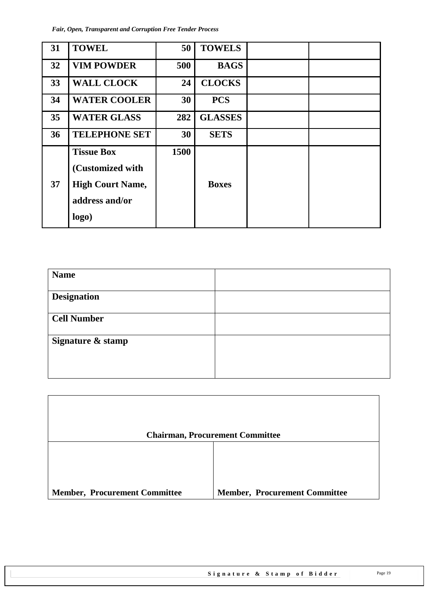*Fair, Open, Transparent and Corruption Free Tender Process*

| 31 | <b>TOWEL</b>                                                                                | 50   | <b>TOWELS</b>  |  |
|----|---------------------------------------------------------------------------------------------|------|----------------|--|
| 32 | <b>VIM POWDER</b>                                                                           | 500  | <b>BAGS</b>    |  |
| 33 | <b>WALL CLOCK</b>                                                                           | 24   | <b>CLOCKS</b>  |  |
| 34 | <b>WATER COOLER</b>                                                                         | 30   | <b>PCS</b>     |  |
| 35 | <b>WATER GLASS</b>                                                                          | 282  | <b>GLASSES</b> |  |
| 36 | <b>TELEPHONE SET</b>                                                                        | 30   | <b>SETS</b>    |  |
| 37 | <b>Tissue Box</b><br>(Customized with<br><b>High Court Name,</b><br>address and/or<br>logo) | 1500 | <b>Boxes</b>   |  |

| <b>Name</b>        |  |
|--------------------|--|
| <b>Designation</b> |  |
|                    |  |
| <b>Cell Number</b> |  |
| Signature & stamp  |  |
|                    |  |
|                    |  |

| <b>Chairman, Procurement Committee</b> |                                      |  |  |  |  |  |
|----------------------------------------|--------------------------------------|--|--|--|--|--|
|                                        |                                      |  |  |  |  |  |
|                                        |                                      |  |  |  |  |  |
|                                        |                                      |  |  |  |  |  |
| <b>Member, Procurement Committee</b>   | <b>Member, Procurement Committee</b> |  |  |  |  |  |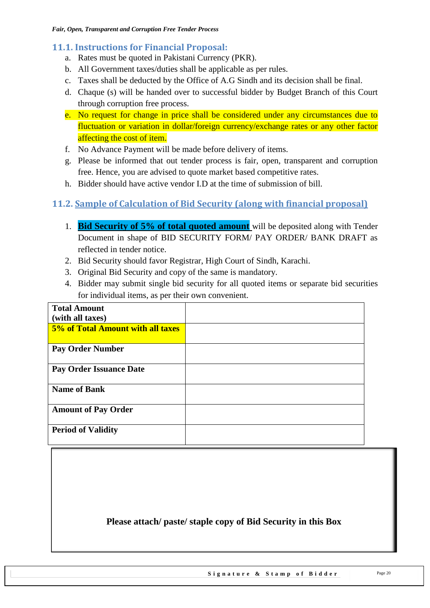#### <span id="page-19-0"></span>**11.1. Instructions for Financial Proposal:**

- a. Rates must be quoted in Pakistani Currency (PKR).
- b. All Government taxes/duties shall be applicable as per rules.
- c. Taxes shall be deducted by the Office of A.G Sindh and its decision shall be final.
- d. Chaque (s) will be handed over to successful bidder by Budget Branch of this Court through corruption free process.
- e. No request for change in price shall be considered under any circumstances due to fluctuation or variation in dollar/foreign currency/exchange rates or any other factor affecting the cost of item.
- f. No Advance Payment will be made before delivery of items.
- g. Please be informed that out tender process is fair, open, transparent and corruption free. Hence, you are advised to quote market based competitive rates.
- h. Bidder should have active vendor I.D at the time of submission of bill.

### <span id="page-19-1"></span>**11.2. Sample of Calculation of Bid Security (along with financial proposal)**

- 1. **Bid Security of 5% of total quoted amount** will be deposited along with Tender Document in shape of BID SECURITY FORM/ PAY ORDER/ BANK DRAFT as reflected in tender notice.
- 2. Bid Security should favor Registrar, High Court of Sindh, Karachi.
- 3. Original Bid Security and copy of the same is mandatory.
- 4. Bidder may submit single bid security for all quoted items or separate bid securities for individual items, as per their own convenient.

| <b>Total Amount</b>               |  |
|-----------------------------------|--|
| (with all taxes)                  |  |
| 5% of Total Amount with all taxes |  |
| <b>Pay Order Number</b>           |  |
| <b>Pay Order Issuance Date</b>    |  |
| <b>Name of Bank</b>               |  |
| <b>Amount of Pay Order</b>        |  |
| <b>Period of Validity</b>         |  |

### **Please attach/ paste/ staple copy of Bid Security in this Box**

Signature & Stamp of Bidder Page 20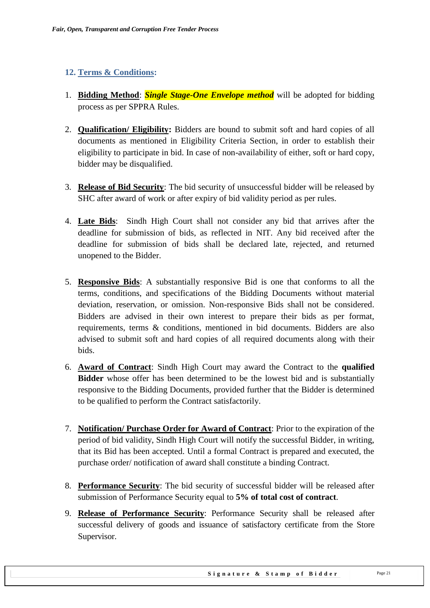#### <span id="page-20-0"></span>**12. Terms & Conditions:**

- 1. **Bidding Method**: *Single Stage-One Envelope method* will be adopted for bidding process as per SPPRA Rules.
- 2. **Qualification/ Eligibility:** Bidders are bound to submit soft and hard copies of all documents as mentioned in Eligibility Criteria Section, in order to establish their eligibility to participate in bid. In case of non-availability of either, soft or hard copy, bidder may be disqualified.
- 3. **Release of Bid Security**: The bid security of unsuccessful bidder will be released by SHC after award of work or after expiry of bid validity period as per rules.
- 4. **Late Bids**: Sindh High Court shall not consider any bid that arrives after the deadline for submission of bids, as reflected in NIT. Any bid received after the deadline for submission of bids shall be declared late, rejected, and returned unopened to the Bidder.
- 5. **Responsive Bids**: A substantially responsive Bid is one that conforms to all the terms, conditions, and specifications of the Bidding Documents without material deviation, reservation, or omission. Non-responsive Bids shall not be considered. Bidders are advised in their own interest to prepare their bids as per format, requirements, terms & conditions, mentioned in bid documents. Bidders are also advised to submit soft and hard copies of all required documents along with their bids.
- 6. **Award of Contract**: Sindh High Court may award the Contract to the **qualified Bidder** whose offer has been determined to be the lowest bid and is substantially responsive to the Bidding Documents, provided further that the Bidder is determined to be qualified to perform the Contract satisfactorily.
- 7. **Notification/ Purchase Order for Award of Contract**: Prior to the expiration of the period of bid validity, Sindh High Court will notify the successful Bidder, in writing, that its Bid has been accepted. Until a formal Contract is prepared and executed, the purchase order/ notification of award shall constitute a binding Contract.
- 8. **Performance Security**: The bid security of successful bidder will be released after submission of Performance Security equal to **5% of total cost of contract**.
- 9. **Release of Performance Security**: Performance Security shall be released after successful delivery of goods and issuance of satisfactory certificate from the Store Supervisor.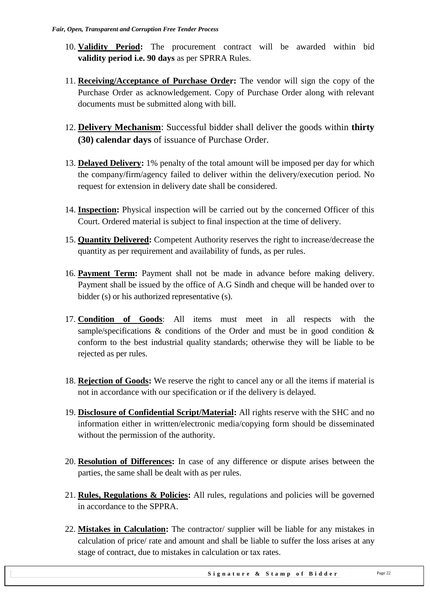- 10. **Validity Period:** The procurement contract will be awarded within bid **validity period i.e. 90 days** as per SPRRA Rules.
- 11. **Receiving/Acceptance of Purchase Order:** The vendor will sign the copy of the Purchase Order as acknowledgement. Copy of Purchase Order along with relevant documents must be submitted along with bill.
- 12. **Delivery Mechanism**: Successful bidder shall deliver the goods within **thirty (30) calendar days** of issuance of Purchase Order.
- 13. **Delayed Delivery:** 1% penalty of the total amount will be imposed per day for which the company/firm/agency failed to deliver within the delivery/execution period. No request for extension in delivery date shall be considered.
- 14. **Inspection:** Physical inspection will be carried out by the concerned Officer of this Court. Ordered material is subject to final inspection at the time of delivery.
- 15. **Quantity Delivered:** Competent Authority reserves the right to increase/decrease the quantity as per requirement and availability of funds, as per rules.
- 16. **Payment Term:** Payment shall not be made in advance before making delivery. Payment shall be issued by the office of A.G Sindh and cheque will be handed over to bidder (s) or his authorized representative (s).
- 17. **Condition of Goods**: All items must meet in all respects with the sample/specifications  $\&$  conditions of the Order and must be in good condition  $\&$ conform to the best industrial quality standards; otherwise they will be liable to be rejected as per rules.
- 18. **Rejection of Goods:** We reserve the right to cancel any or all the items if material is not in accordance with our specification or if the delivery is delayed.
- 19. **Disclosure of Confidential Script/Material:** All rights reserve with the SHC and no information either in written/electronic media/copying form should be disseminated without the permission of the authority.
- 20. **Resolution of Differences:** In case of any difference or dispute arises between the parties, the same shall be dealt with as per rules.
- 21. **Rules, Regulations & Policies:** All rules, regulations and policies will be governed in accordance to the SPPRA.
- 22. **Mistakes in Calculation:** The contractor/ supplier will be liable for any mistakes in calculation of price/ rate and amount and shall be liable to suffer the loss arises at any stage of contract, due to mistakes in calculation or tax rates.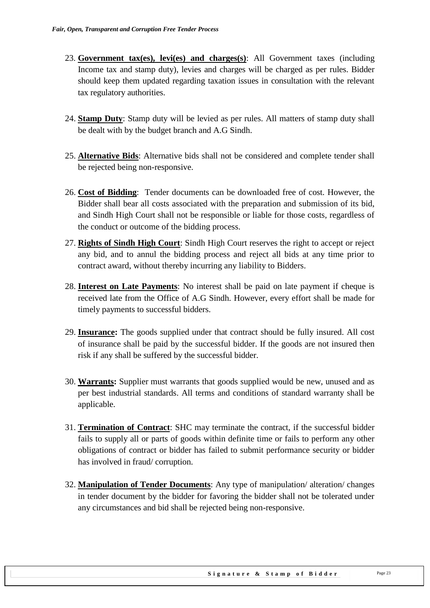- 23. **Government tax(es), levi(es) and charges(s)**: All Government taxes (including Income tax and stamp duty), levies and charges will be charged as per rules. Bidder should keep them updated regarding taxation issues in consultation with the relevant tax regulatory authorities.
- 24. **Stamp Duty**: Stamp duty will be levied as per rules. All matters of stamp duty shall be dealt with by the budget branch and A.G Sindh.
- 25. **Alternative Bids**: Alternative bids shall not be considered and complete tender shall be rejected being non-responsive.
- 26. **Cost of Bidding**: Tender documents can be downloaded free of cost. However, the Bidder shall bear all costs associated with the preparation and submission of its bid, and Sindh High Court shall not be responsible or liable for those costs, regardless of the conduct or outcome of the bidding process.
- 27. **Rights of Sindh High Court**: Sindh High Court reserves the right to accept or reject any bid, and to annul the bidding process and reject all bids at any time prior to contract award, without thereby incurring any liability to Bidders.
- 28. **Interest on Late Payments**: No interest shall be paid on late payment if cheque is received late from the Office of A.G Sindh. However, every effort shall be made for timely payments to successful bidders.
- 29. **Insurance:** The goods supplied under that contract should be fully insured. All cost of insurance shall be paid by the successful bidder. If the goods are not insured then risk if any shall be suffered by the successful bidder.
- 30. **Warrants:** Supplier must warrants that goods supplied would be new, unused and as per best industrial standards. All terms and conditions of standard warranty shall be applicable.
- 31. **Termination of Contract**: SHC may terminate the contract, if the successful bidder fails to supply all or parts of goods within definite time or fails to perform any other obligations of contract or bidder has failed to submit performance security or bidder has involved in fraud/ corruption.
- 32. **Manipulation of Tender Documents**: Any type of manipulation/ alteration/ changes in tender document by the bidder for favoring the bidder shall not be tolerated under any circumstances and bid shall be rejected being non-responsive.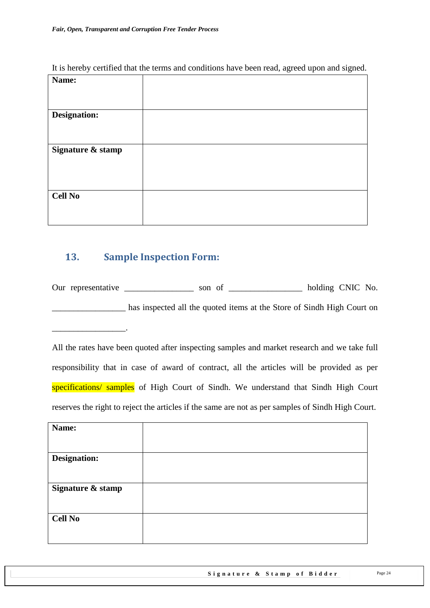| It is hereby certified that the terms and conditions have been read, agreed upon and signed. |  |  |  |  |  |  |  |
|----------------------------------------------------------------------------------------------|--|--|--|--|--|--|--|
|                                                                                              |  |  |  |  |  |  |  |

| Name:             |  |
|-------------------|--|
| Designation:      |  |
| Signature & stamp |  |
| <b>Cell No</b>    |  |

### <span id="page-23-0"></span>**13. Sample Inspection Form:**

 $\mathcal{L}$  and  $\mathcal{L}$ 

Our representative \_\_\_\_\_\_\_\_\_\_\_\_\_\_\_ son of \_\_\_\_\_\_\_\_\_\_\_\_\_\_\_\_ holding CNIC No. has inspected all the quoted items at the Store of Sindh High Court on

All the rates have been quoted after inspecting samples and market research and we take full responsibility that in case of award of contract, all the articles will be provided as per specifications/ samples of High Court of Sindh. We understand that Sindh High Court reserves the right to reject the articles if the same are not as per samples of Sindh High Court.

| Name:               |  |
|---------------------|--|
|                     |  |
| <b>Designation:</b> |  |
|                     |  |
| Signature & stamp   |  |
| <b>Cell No</b>      |  |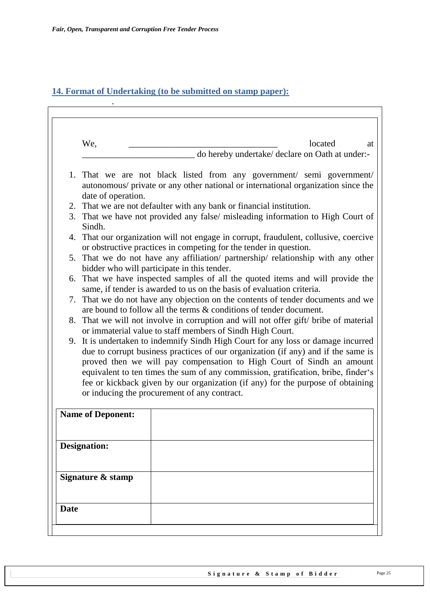.

 $\mathbf{r}$ 

### <span id="page-24-0"></span>**14. Format of Undertaking (to be submitted on stamp paper):**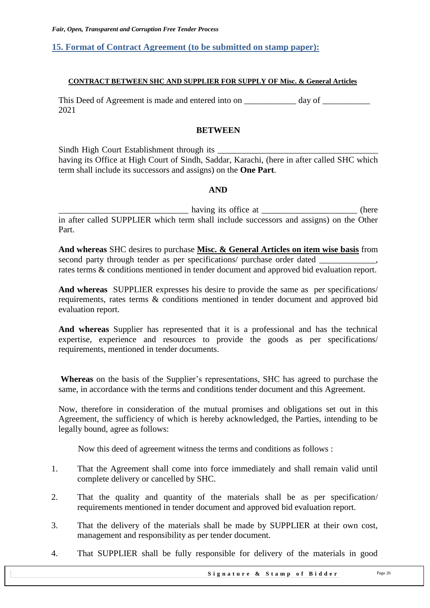#### <span id="page-25-0"></span>**15. Format of Contract Agreement (to be submitted on stamp paper):**

#### **CONTRACT BETWEEN SHC AND SUPPLIER FOR SUPPLY OF Misc. & General Articles**

This Deed of Agreement is made and entered into on day of  $\alpha$ 2021

#### **BETWEEN**

Sindh High Court Establishment through its \_\_\_\_\_\_\_\_\_\_\_\_\_\_\_\_\_\_\_\_\_\_\_\_\_\_\_\_\_\_\_\_\_\_\_\_\_ having its Office at High Court of Sindh, Saddar, Karachi, (here in after called SHC which term shall include its successors and assigns) on the **One Part**.

#### **AND**

\_\_\_\_\_\_\_\_\_\_\_\_\_\_\_\_\_\_\_\_\_\_\_\_\_\_\_\_\_\_ having its office at \_\_\_\_\_\_\_\_\_\_\_\_\_\_\_\_\_\_\_\_\_\_ (here in after called SUPPLIER which term shall include successors and assigns) on the Other Part.

**And whereas** SHC desires to purchase **Misc. & General Articles on item wise basis** from second party through tender as per specifications/ purchase order dated rates terms & conditions mentioned in tender document and approved bid evaluation report.

**And whereas** SUPPLIER expresses his desire to provide the same as per specifications/ requirements, rates terms & conditions mentioned in tender document and approved bid evaluation report.

**And whereas** Supplier has represented that it is a professional and has the technical expertise, experience and resources to provide the goods as per specifications/ requirements, mentioned in tender documents.

**Whereas** on the basis of the Supplier's representations, SHC has agreed to purchase the same, in accordance with the terms and conditions tender document and this Agreement.

Now, therefore in consideration of the mutual promises and obligations set out in this Agreement, the sufficiency of which is hereby acknowledged, the Parties, intending to be legally bound, agree as follows:

Now this deed of agreement witness the terms and conditions as follows :

- 1. That the Agreement shall come into force immediately and shall remain valid until complete delivery or cancelled by SHC.
- 2. That the quality and quantity of the materials shall be as per specification/ requirements mentioned in tender document and approved bid evaluation report.
- 3. That the delivery of the materials shall be made by SUPPLIER at their own cost, management and responsibility as per tender document.
- 4. That SUPPLIER shall be fully responsible for delivery of the materials in good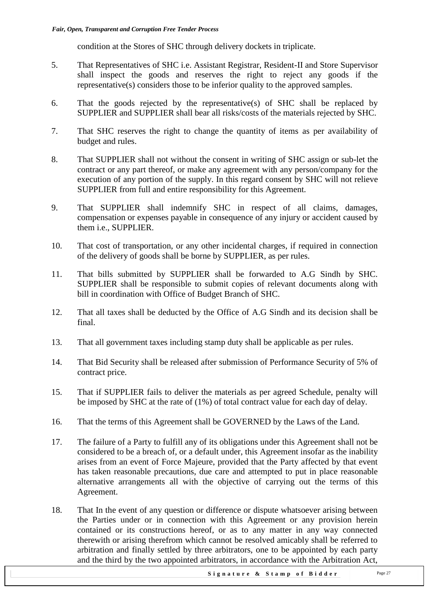condition at the Stores of SHC through delivery dockets in triplicate.

- 5. That Representatives of SHC i.e. Assistant Registrar, Resident-II and Store Supervisor shall inspect the goods and reserves the right to reject any goods if the representative(s) considers those to be inferior quality to the approved samples.
- 6. That the goods rejected by the representative(s) of SHC shall be replaced by SUPPLIER and SUPPLIER shall bear all risks/costs of the materials rejected by SHC.
- 7. That SHC reserves the right to change the quantity of items as per availability of budget and rules.
- 8. That SUPPLIER shall not without the consent in writing of SHC assign or sub-let the contract or any part thereof, or make any agreement with any person/company for the execution of any portion of the supply. In this regard consent by SHC will not relieve SUPPLIER from full and entire responsibility for this Agreement.
- 9. That SUPPLIER shall indemnify SHC in respect of all claims, damages, compensation or expenses payable in consequence of any injury or accident caused by them i.e., SUPPLIER.
- 10. That cost of transportation, or any other incidental charges, if required in connection of the delivery of goods shall be borne by SUPPLIER, as per rules.
- 11. That bills submitted by SUPPLIER shall be forwarded to A.G Sindh by SHC. SUPPLIER shall be responsible to submit copies of relevant documents along with bill in coordination with Office of Budget Branch of SHC.
- 12. That all taxes shall be deducted by the Office of A.G Sindh and its decision shall be final.
- 13. That all government taxes including stamp duty shall be applicable as per rules.
- 14. That Bid Security shall be released after submission of Performance Security of 5% of contract price.
- 15. That if SUPPLIER fails to deliver the materials as per agreed Schedule, penalty will be imposed by SHC at the rate of (1%) of total contract value for each day of delay.
- 16. That the terms of this Agreement shall be GOVERNED by the Laws of the Land.
- 17. The failure of a Party to fulfill any of its obligations under this Agreement shall not be considered to be a breach of, or a default under, this Agreement insofar as the inability arises from an event of Force Majeure, provided that the Party affected by that event has taken reasonable precautions, due care and attempted to put in place reasonable alternative arrangements all with the objective of carrying out the terms of this Agreement.
- 18. That In the event of any question or difference or dispute whatsoever arising between the Parties under or in connection with this Agreement or any provision herein contained or its constructions hereof, or as to any matter in any way connected therewith or arising therefrom which cannot be resolved amicably shall be referred to arbitration and finally settled by three arbitrators, one to be appointed by each party and the third by the two appointed arbitrators, in accordance with the Arbitration Act,